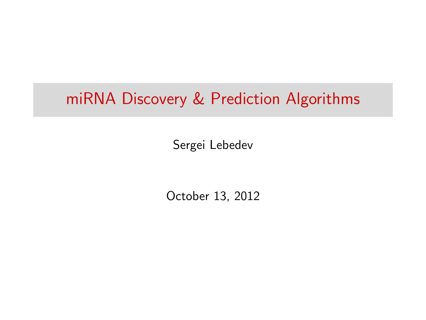### miRNA Discovery & Prediction Algorithms

Sergei Lebedev

October 13, 2012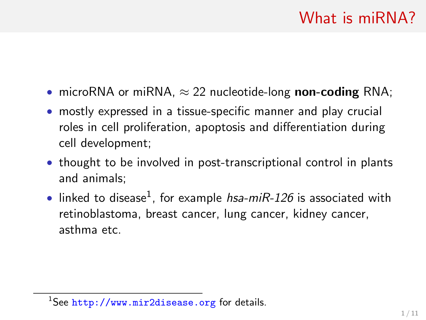- microRNA or miRNA,  $\approx$  22 nucleotide-long non-coding RNA;
- mostly expressed in a tissue-specific manner and play crucial roles in cell proliferation, apoptosis and differentiation during cell development;
- thought to be involved in post-transcriptional control in plants and animals;
- $\bullet$  linked to disease<sup>1</sup>, for example *hsa-miR-126* is associated with retinoblastoma, breast cancer, lung cancer, kidney cancer, asthma etc.

<sup>&</sup>lt;sup>1</sup>See <http://www.mir2disease.org> for details.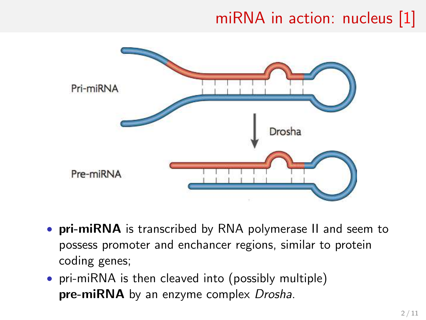# miRNA in action: nucleus [\[1\]](#page-11-0)



- pri-miRNA is transcribed by RNA polymerase II and seem to possess promoter and enchancer regions, similar to protein coding genes;
- pri-miRNA is then cleaved into (possibly multiple) **pre-miRNA** by an enzyme complex *Drosha*.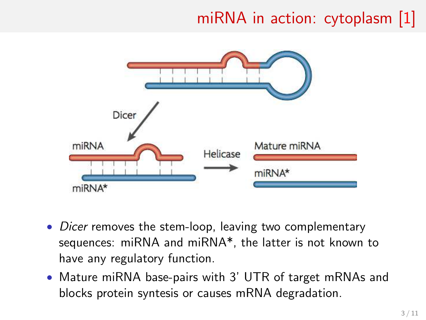# miRNA in action: cytoplasm [\[1\]](#page-11-0)



- Dicer removes the stem-loop, leaving two complementary sequences: miRNA and miRNA\*, the latter is not known to have any regulatory function.
- Mature miRNA base-pairs with 3' UTR of target mRNAs and blocks protein syntesis or causes mRNA degradation.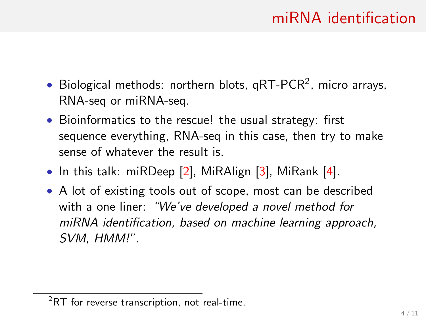#### miRNA identification

- $\bullet$  Biological methods: northern blots, qRT-PCR<sup>2</sup>, micro arrays, RNA-seq or miRNA-seq.
- Bioinformatics to the rescue! the usual strategy: first sequence everything, RNA-seq in this case, then try to make sense of whatever the result is.
- In this talk: miRDeep  $[2]$ , MiRAlign  $[3]$ , MiRank  $[4]$ .
- A lot of existing tools out of scope, most can be described with a one liner: "We've developed a novel method for miRNA identification, based on machine learning approach, SVM, HMM!".

 ${}^{2}$ RT for reverse transcription, not real-time.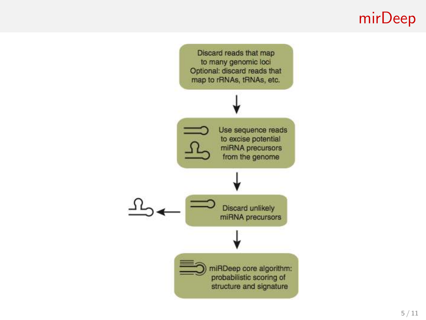## mirDeep

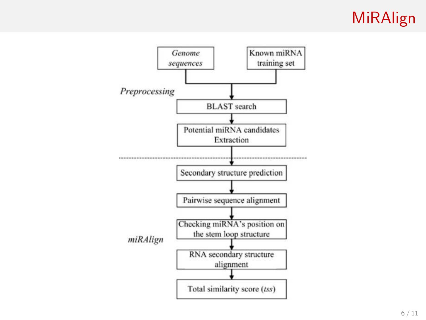## MiRAlign

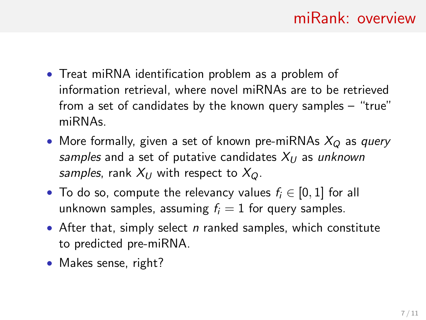- Treat miRNA identification problem as a problem of information retrieval, where novel miRNAs are to be retrieved from a set of candidates by the known query samples – "true" miRNAs.
- More formally, given a set of known pre-miRNAs  $X_Q$  as query samples and a set of putative candidates  $X_{U}$  as unknown samples, rank  $X_{U}$  with respect to  $X_{\Omega}$ .
- To do so, compute the relevancy values  $f_i \in [0,1]$  for all unknown samples, assuming  $f_i = 1$  for query samples.
- After that, simply select  $n$  ranked samples, which constitute to predicted pre-miRNA.
- Makes sense, right?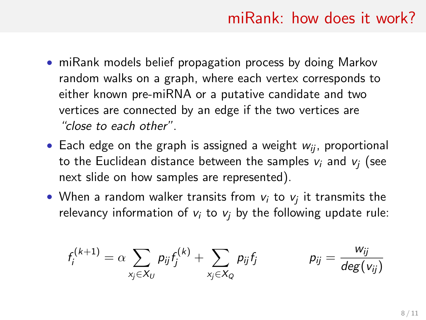#### miRank: how does it work?

- miRank models belief propagation process by doing Markov random walks on a graph, where each vertex corresponds to either known pre-miRNA or a putative candidate and two vertices are connected by an edge if the two vertices are "close to each other".
- Each edge on the graph is assigned a weight  $w_{ii}$ , proportional to the Euclidean distance between the samples  $v_i$  and  $v_i$  (see next slide on how samples are represented).
- When a random walker transits from  $v_i$  to  $v_j$  it transmits the relevancy information of  $v_i$  to  $v_j$  by the following update rule:

$$
f_i^{(k+1)} = \alpha \sum_{x_j \in X_U} p_{ij} f_j^{(k)} + \sum_{x_j \in X_Q} p_{ij} f_j \qquad \qquad p_{ij} = \frac{w_{ij}}{deg(v_{ij})}
$$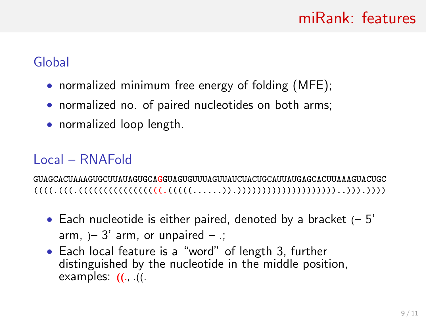#### miRank: features

#### Global

- normalized minimum free energy of folding (MFE);
- normalized no. of paired nucleotides on both arms;
- normalized loop length.

#### Local – RNAFold

GUAGCACUAAAGUGCUUAUAGUGCAGGUAGUGUUUAGUUAUCUACUGCAUUAUGAGCACUUAAAGUACUGC ((((.(((.(((((((((((((((((.(((((......)).))))))))))))))))))))..))).))))

- Each nucleotide is either paired, denoted by a bracket  $(-5)$ arm,  $-3'$  arm, or unpaired  $-$ ;
- Each local feature is a "word" of length 3, further distinguished by the nucleotide in the middle position, examples:  $(1)$ .  $(1)$ .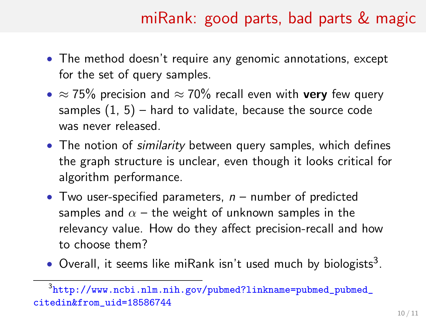## miRank: good parts, bad parts & magic

- The method doesn't require any genomic annotations, except for the set of query samples.
- $\approx$  75% precision and  $\approx$  70% recall even with very few query samples  $(1, 5)$  – hard to validate, because the source code was never released.
- The notion of *similarity* between query samples, which defines the graph structure is unclear, even though it looks critical for algorithm performance.
- Two user-specified parameters,  $n -$  number of predicted samples and  $\alpha$  – the weight of unknown samples in the relevancy value. How do they affect precision-recall and how to choose them?
- Overall, it seems like miRank isn't used much by biologists<sup>3</sup>.

 $^3$ [http://www.ncbi.nlm.nih.gov/pubmed?linkname=pubmed\\_pubmed\\_](http://www.ncbi.nlm.nih.gov/pubmed?linkname=pubmed_pubmed_citedin&from_uid=18586744) [citedin&from\\_uid=18586744](http://www.ncbi.nlm.nih.gov/pubmed?linkname=pubmed_pubmed_citedin&from_uid=18586744)